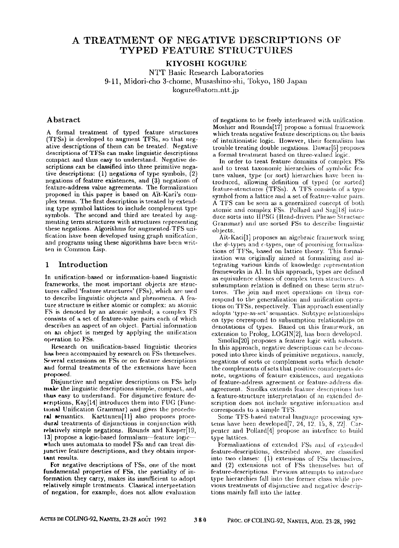# **A TREATMENT OF NEGATIVE DESCRIPTIONS OF**  TYPED FEATURE STRUCTURES

KIYOSHI KOGURE

NTT Basic Research Laboratories 9-11, Midori-cho 3-chome, Musashino-shi, Tokyo, 180 Japan kogure@atom.ntt.jp

## **Abstract**

A formal treatment of typed feature structures (TFSs) is developed to augment TFSs, so that negative descriptions of them can be treated. Negative descriptions of TFSs **can** make linguistic descriptions compact and thus easy to understand. Negative descriptions can be classified into three primitive negative descriptions: (1) negations of type symbols, (2) negations of feature existences, and (3) negations of feature-address value agreements. The formalization proposed in this paper is based on A'it-Kaci's complex terms. The first description is treated by extending type symbol lattices to include complement type symbols. The second and third are treated by augmenting term structures with structures representing these negations. Algorithms for augmented-TFS unification have been developed using graph unification, and programs using these algorithms have been written in Conmaon Lisp.

### **1** Introduction

**In** unification-based or information:based linguistic frameworks, the most important objects are structures called 'feature structures' (FSs), which are used to describe linguistic objects and phenomena. A feature structure is either atomic or complex: an atomic FS is denoted by an atomic symbol; a complex FS consists of a set of feature-value pairs each of which describes an aspect of an object. Partial information on an object is merged by applying the unification operation to FSs.

Research on unification-based linguistic theories **has** been accompanied by research on FSs themselves. Several extensions on FSs or on feature descriptions **and** formal treatments of the extensions have been proposed.

Disjunctive and negative descriptions on FSs help make the linguistic descriptions simple, compact, **and**  thus easy to understand. For disjunctive feature de- $*$ criptions, Kay[14] introduces them into FUG (Functional Unification Grammar) and gives the procedural semantics. Karttunen[ll] also proposes procedural treatments of disjunctions in conjunction with relatively simple negations. Rounds and Kasper[19, 13] propose a logic-based formalism--feature logicwhich uses automata to model FSs and can treat dis-Junctive feature descriptions, and they obtain important **results.** 

For negative descriptions of FSs, one of the most. fundamental properties of FSs, the partiality of information they carry, makes its insufficient to adopt relatively simple treatments. Classical interpretation of negation, for example, does not, allow evaluation

of negations to be freely interleaved with unification. Moshier and Rounds[17] propose a formal framework which treats negative feature descriptions on the basis of intuitionistic logic. However, their formalism has trouble treating double negations. Dawar[5] proposes a formal treatment based on three-valued logic.

In order to treat feature domains of complex FSs and to treat taxonomic hierarchies of symbolic feature values, type (or sort) hierarchies have been introduced, allowing definition of typed (or sorted) feature-structures (TFSs). A TFS consists of a type symbol from a lattice and a set of feature-value pairs. A TFS can be seen as a generalized concept of both atomic and complex FSs. Pollard and Sag[18] introduce sorts into HPSG (Head-driven Phrase Structure Grammar) and use sorted FSs to describe linguistic objects.

Aït-Kaci[1] proposes an algebraic framework using the  $\psi$ -types and  $\epsilon$ -types, one of promising formalizations of TFSs, based on lattice theory. This formalization was originally aimed at formalizing and integrating various kinds of knowledge representation frameworks in AI. In this approach, types are defined as equivalence classes of complex term structures. A subsumption relation is defined on these term structures. The join and meet operations on them correspond to the generalization and unification operations on TFSs, respectively. This approach essentially adopts 'type-as-set' semantics. Subtype relationships on type correspond to subsumption relationships on denotations of types. Based on this framework, an extension to Prolog, LOGIN[2], has becn developed.

Smolka[20] proposes a feature logic with subsorts. In this approach, negative descriptions can be decomposed into three kinds of primitive negations, namely, negations of sorts or complement sorts which denote the complements of sets that positive counterparts denote, negations of feature existences, and negations of feature-address agreement or feature-address dis agreement. Smolka extends feature descriptions but a feature-structure interpretation of an extended de scription does not include negative information and corresponds to a simple TFS.

Some TFS-based natural language processing systems have been developed[7, 24, 12, 15, 8, 22]. Carpenter and Pollard<sup>[4]</sup> propose an interface to build type lattices.

Formalizations of extended FSs and of extended feature-descriptions, described above, arc classilicd into two classes: (1) extensions of FSs themselves, and (2) extensions not of FSs themselves hut of feature-descriptions. Previous attempts to introduce type hierarchies fall into the former class while previous treatments of disjunctive and negative descriptions mainly fall into the latter.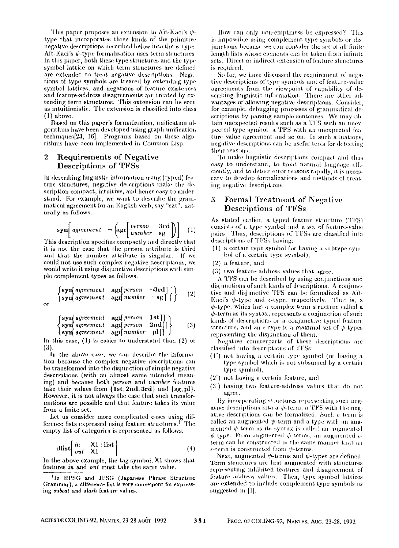This paper proposes an extension to Ait-Kaci's  $\psi$ . type that incorporates three kinds of the primitive negative descriptions described below into the  $\psi$ -type. Ait-Kaci's  $\psi$ -type formalization uses term structures. In this paper, both these type structures and the type symbol lattice on which term structures are defined are extended to treat negative descriptions. Negations of type symbols are treated by extending type symbol lattices, and negations of feature existences and feature-address disagreements are treated by extending term structures. This extension can be seen as intuitionistie. The extension is classified into class  $(1)$  above.

Based on this paper's formalization, unilieation algorithms have been developed usiug graph unification techniques $[23, 16]$ . Programs based on these algorithms have been implemented in Common Lisp.

### **2** Requirements of Negative Descriptions of TFSs

In describing linguistic information using (typed) feature structures, negative descriptions make the description compact, intuitive, and hence easy to understand. For example, we want to deserihe the grammatical agreement for an English verb, say "eat", naturally as follows.

$$
\textbf{syn}\left[\text{agreement} - \left(\text{agr}\left[\begin{array}{cc}person & \text{3rd} \\ number & \text{sg}\end{array}\right]\right) \right] \quad (1)
$$

This description specifies compactly and directly that it is not the case that the person attribute is third and that the number attribute is singular. If we could not use such complex negative descriptions, we would write it using disjunctive descriptions with simple complement types as follows.

$$
\begin{array}{c} \left\{ \begin{array}{l} \text{syn}(\text{agreement} - \text{agt} \text{person} - \text{3rd}] \\ \text{syn}(\text{agreement} - \text{agt} \text{number} - \text{sg}] \end{array} \right\} \end{array} \quad (2)
$$

$$
\begin{Bmatrix}\nsyn{agreement} & ngfperson & 1st]]\\nsyn{agreement} & agfperson & 2nd]]\\ssyn{agreement} & agfnumber & p]]\end{Bmatrix} (3)
$$

In this case,  $(1)$  is easier to understand than  $(2)$  or (3).

In the above ease., we can describe the information because the complex negative descriptions can be transformed into the disjunction of simple negative descriptions (with an almost same intended meaning) and because both *person* and *number* features take their values from  $\{1st, 2nd, 3rd\}$  and  $\{sg, pl\}$ . However, it is not always the case that such transformations are possible and that feature takes its value from a finite set.

Let us consider more. complicated cases using difference lists expressed using feature structures.<sup>1</sup> The empty list of categories is represented as follows.

$$
\text{dist}\left[\begin{array}{cc} in & \text{X1}: \text{list} \\ out & \text{X1} \end{array}\right] \tag{4}
$$

In the above example, the tag symbol, X1 shows that features *in* and *out* must take the same value.

llow can oniy nomemptiness be expressed? This is impossible using complement type symbols or dis junctions because we can consider the set of all finite length lists whose elements can be taken from infinite sets. Direct or indirect extension of feature structures is required.

So far, we have discussed the requirement of negative descriptions of type symbols and of feature-value agreements from the viewpoint of capability of de-<br>scribing linguistic information. There are other advantages of allowing negative descriptions. Consider, for example, debttgging processes of grammatical descriptions by parsing sample sentences. We may obtain unexpected results such as a TFS with an unexpected type symbol, a TFS with an unexpected feature value agreement and so on. In such situations, negative descriptions can be useful tools for detecting their reasons.

To make linguistic descriptions compact and thus easy to understand, to treat natural language efficiently, and to detect error reasons rapidly, it is necessary to develop formalizations and methods of treating negative descriptions.

## **a** Formal Treatment of Negative Descriptions of TFSs

As stated earlier, a typed feature structure (TFS) consists of a type symbol and a set of feature-value pairs. Thus, descriptions of TFSs are classified into descriptions of TFSs having:

- (1) a certain type symbol (or having a subtype syn, hol of a certain type symbol),
- (2) a feature, and
- (3) two feature-address values that agree.

A TFS can be described by using conjunctions and disjunctions of such kinds of descriptions. A conjunctive and disjunctive TFS can be formalized as Aït-Kaci's  $\psi$ -type and  $\epsilon$ -type, respectively. That is, a  $\psi$ -type, which has a complex term structure called a  $\psi$ -term as its syntax, represents a conjunction of such kinds of descriptions or a conjunctive typed feature structure, and an  $\epsilon$ -type is a maximal set of  $\psi$ -types representing the disjunction of them.

Negative counterparts of these descriptions are classified into descriptions of TFSs:

- $(1')$  not having a certain type symbol (or having a type symbol which is not subsumed by a certain type symhol),
- (2') not having a certain feature, and
- (3') having two feature-address values that do not agree.

By incorporating structures representing such negative descriptions into a  $\psi$ -term, a TFS with the negative descriptions can be formalized. Such a lerm is called an augmented  $\psi$ -term and a type with an augmented  $\psi$ -term as its syntax is called an augmented  $\psi$ -type. From augmented  $\psi$ -terms, an augmented  $\epsilon$ term can be constructed in the same manner that an  $\epsilon$ -term is constructed from  $\psi$ -terms.

Next, augmented  $\psi$ -terms and  $\psi$ -types are defined. Term structures are first augmented with structures representing inhibited features and disagreement of feature address values. Then, type symbol lattices are extended to include complement type symbols as suggested in [1].

<sup>&</sup>lt;sup>1</sup>In HPSG and JPSG (Japanese Phrase Structure Grammar), a difference list is very convenient for express**ing** *subcat* **and** *slash* **feature values.**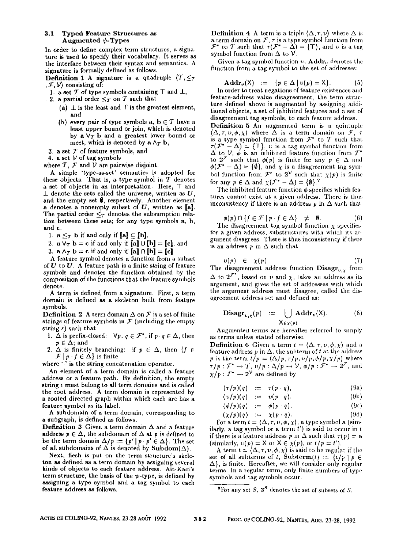### 3.1 Typed Feature Structures **as**  Augmented  $\psi$ -Types

In order to define complex term structures, a signature is used to specify their vocabulary. It serves as the interface between their syntax and semantics. A signature is formally defined as follows.

**Definition 1** A signature is a quadruple  $\langle T, \leq_T \rangle$  $, \mathcal{F}, \mathcal{V}$  consisting of:

- 1. a set  $T$  of type symbols containing  $T$  and  $\bot$ ,
- 2. a partial order  $\leq_T$  on T such that
	- (a)  $\perp$  is the least and  $\perp$  is the greatest element, and
	- (b) every pair of type symbols  $a, b \in \mathcal{T}$  have a least upper bound or join, which is denoted by  $a \vee_{\tau} b$  and a greatest lower bound or meet, which is denoted by  $a \wedge_{\mathcal{T}} b$ ,
- 3. a set  $F$  of feature symbols, and
- 4. a set  $V$  of tag symbols

where  $T$ ,  $F$  and  $\tilde{V}$  are pairwise disjoint.

A simple 'type-as-set' semantics is adopted for these objects. That is, a type symbol in  $T$  denotes a set of objects in an interpretation. Here, T and  $\perp$  denote the sets called the universe, written as U, and the empty set  $\emptyset$ , respectively. Another element a denotes a nonempty subset of  $U$ , written as  $[a]$ . The partial order  $\leq_T$  denotes the subsumption relation between these sets; for any type symbols a, b, and c,

1.  $a \leq_T b$  if and only if  $[a] \subseteq [b]$ ,

2. 
$$
\mathbf{a} \vee_{\mathcal{T}} \mathbf{b} = \mathbf{c}
$$
 if and only if  $[\mathbf{a}] \cup [\mathbf{b}] = [\mathbf{c}]$ , and

3.  $\mathbf{a} \wedge_{\mathcal{T}} \mathbf{b} = \mathbf{c}$  if and only if  $[\mathbf{a}] \cap [\mathbf{b}] = [\mathbf{c}]$ .

A feature symbol denotes a function from a subset of  $U$  to  $U$ . A feature path is a finite string of feature symbols and denotes the function obtained by the composition of the functions that the feature symbols denote.

A term is defined from a signature. First, a term domain is defined as a skeleton built from feature symbols.

**Definition 2** A term domain  $\Delta$  on  $\mathcal F$  is a set of finite strings of feature symbols in  $\mathcal F$  (including the empty string  $\epsilon$ ) such that

- 1.  $\Delta$  is prefix-closed:  $\forall p, q \in \mathcal{F}^*$ , if  $p \cdot q \in \Delta$ , then  $p \in \Delta$ ; and
- 2.  $\Delta$  is finitely branching: if  $p \in \Delta$ , then {f  $\in$  $\mathcal{F} | p \cdot f \in \Delta$  is finite

where '.' is the string concatenation operator.

An element of a term domain is called a feature address or a feature path. By definition, the empty string e must belong to all term domains and is called the root address. A term domain is represented by a rooted directed graph within which each arc has a feature symbol as its label.

A suhdomain of a term domain, corresponding to a subgraph, is defined as follows.

**Definition 3** Given a term domain  $\Delta$  and a feature address  $p \in \Delta$ , the subdomain of  $\Delta$  at p is defined to be the term domain  $\Delta/p := \{p' \mid p \cdot p' \in \Delta\}$ . The set of all subdomains of  $\Delta$  is denoted by Subdom( $\Delta$ ).

Next, flesh is put on the term structure's skeleton as defined as a term domain by assigning several kinds of objects to each feature address. Ait-Kaci's term structure, the basis of the  $\psi$ -type, is defined by assigning a type symbol and a tag symbol to each feature address as follows.

**Definition 4** A term is a triple  $(\Delta, \tau, v)$  where  $\Delta$  is a term domain on  $\mathcal{F}, \tau$  is a type symbol function from  $\mathcal{F}^*$  to  $\mathcal{T}$  such that  $\tau(\mathcal{F}^* - \Delta) = \{\top\}$ , and  $v$  is a tag symbol function from  $\Delta$  to  $\mathcal{V}$ .

Given a tag symbol function  $v_i$ , Addr<sub>y</sub> denotes the function from a tag symbol to the set of addresses:

$$
\mathbf{Addr}_{\nu}(\mathsf{X}) \quad := \quad \{ p \in \Delta \mid \nu(p) = \mathsf{X} \}. \tag{5}
$$

In order to treat negations of feature existences and feature-address value disagreement, the term structure defined above is augmented by assigning additional objects, a set of inhibited features and a set of disagreement tag symbols, to each feature address.

Definition 5 An augmented term is a quintuple  $(\Delta, \tau, v, \phi, \chi)$  where  $\widetilde{\Delta}$  is a term domain on  $\mathcal{F}, \tau$ is a type symbol function from  $\mathcal{F}^*$  to  $\mathcal T$  such that  $\tau(\mathcal{F}^* - \Delta) = \{\top\}, v \text{ is a tag symbol function from } \Delta \text{ to } \mathcal{V}, \phi \text{ is an inhibited feature function from } \mathcal{F}^*$ to  $2^{\mathcal{F}}$  such that  $\phi(p)$  is finite for any  $p \in \Delta$  and  $\phi(\mathcal{F}^* - \Delta) = {\emptyset}$ , and  $\chi$  is a disagreement tag symbol function from  $\mathcal{F}^*$  to  $2^{\mathcal{V}}$  such that  $\chi(p)$  is finite for any  $p \in \Delta$  and  $\chi(\mathcal{F}^* - \Delta) = {\emptyset} \cdot \mathcal{F}$ 

The inhibited feature function  $\phi$  specifies which features cannot exist at a given address. There is thus inconsistency if there is an address  $p$  in  $\Delta$  such that

$$
\phi(p) \cap \{ f \in \mathcal{F} \mid p \cdot f \in \Delta \} \neq \emptyset. \tag{6}
$$

 $\phi(p) \cap \{f \in \mathcal{F} \mid p \cdot f \in \Delta\} \neq \emptyset.$  (6) The disagreement tag symbol function  $\chi$  specifies, for a given address, substructures with which its argument disagrees. There is thus inconsistency if there is an address  $p$  in  $\Delta$  such that

$$
v(p) \in \chi(p). \tag{7}
$$

The disagreement address function  $\mathbf{Disagr}_{\nu,\chi}$  from  $\Delta$  to  $2^{\mathcal{F}^*}$ , based on v and  $\chi$ , takes an address as its argument, and gives the set of addresses with which the argument address must disagree, called the disagreement address set and defined as:

$$
\mathbf{Disagr}_{\mathbf{v},\chi}(p) := \bigcup_{\mathsf{X} \in \chi(p)} \mathbf{Addr}_{\mathbf{v}}(\mathsf{X}). \tag{8}
$$

Augmented terms are hereafter referred to simply as terms unless stated otherwise.

**Definition 6** Given a term  $t = \langle \Delta, \tau, v, \phi, \chi \rangle$  and a feature address  $p$  in  $\Delta$ , the subterm of t at the address p is the term  $t/p = \langle \Delta/p, \tau/p, \nu/p, \phi/p, \chi/p \rangle$  where  $\tau/p : \mathcal{F}^* \to \mathcal{T}$ ,  $v/p : \Delta/p \to \mathcal{V}$ ,  $\phi/p : \mathcal{F}^* \to 2^{\mathcal{F}}$ , and  $\chi/p : \mathcal{F}^* \to 2^{\mathcal{V}}$  are defined by

$$
(\tau/p)(q) \quad := \quad \tau(p \cdot q), \tag{9a}
$$

$$
(v/p)(q) := v(p \cdot q), \qquad (9b)
$$

$$
(\phi/p)(q) \quad := \quad \phi(p \cdot q), \tag{9c}
$$

$$
(\chi/p)(q) := \chi(p \cdot q).
$$
  
For a term  $t = \langle \Delta, \tau, \nu, \phi, \chi \rangle$ , a type symbol a (sim-

ilarly, a tag symbol or a term  $t'$ ) is said to occur in t if there is a feature address p in  $\Delta$  such that  $\tau(p) = a$ (similarly,  $v(p) = X$  or  $X \in \chi(p)$ , or  $t/p = t'$ ).

A term  $t = (\Delta, \tau, \nu, \phi, \chi)$  is said to be regular if the set of all subterms of t, Subterm(t) :=  $\{t/p \mid p \in$  $\Delta$ , is finite. Hereafter, we will consider only regular terms. In a regular term, only finite numbers of type symbols and tag symbols occur.

<sup>&</sup>lt;sup>2</sup>For any set S,  $2^S$  denotes the set of subsets of S.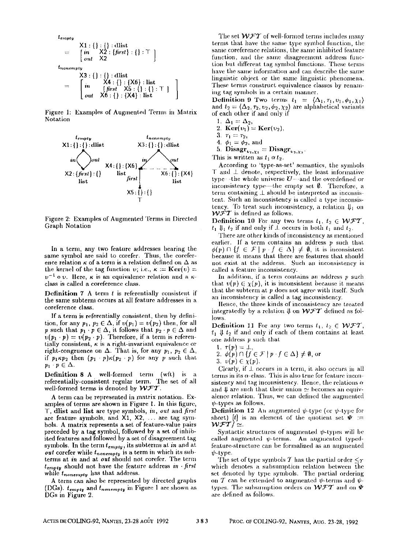$$
t_{empty}
$$
\n
$$
= \begin{bmatrix}\nX1: \{\} : \{\} \text{; dlist} \\
\text{in} & X2: \{first\} : \{\} : \top\n\end{bmatrix}
$$
\n
$$
= \begin{bmatrix}\n\text{in} & X2: \{\text{first}\} : \{\} : \top \\
\text{in} & X3: \{\} : \{\} : \text{dist}\n\end{bmatrix}
$$
\n
$$
= \begin{bmatrix}\n\text{in} & X4: \{\} : \{X6\} : \text{list} \\
\text{in} & X6: \{\} : \{X8: \{\}\} : \text{list}\n\end{bmatrix}
$$

Figure 1: Examples of Augmented Terms in Matrix Notation



Figure 2: Examples of Augmented Terms in Directed Graph Notation

In a term, any two feature addresses bearing the same symbol are said to corefer. Thus, the coreference relation  $\kappa$  of a term is a relation defined on  $\Delta$  as the kernel of the tag function v; i.e.,  $\kappa := \textbf{Ker}(v) =$  $v^{-1}$  o v. Here,  $\kappa$  is an equivalence relation and a  $\kappa$ class is called a coreference class.

**Definition 7** A term  $t$  is referentially consistent if the same subterm occurs at all feature addresses in a coreference class.

If a term is referentially consistent, then by definition, for any  $p_1, p_2 \in \Delta$ , if  $v(p_1) = v(p_2)$  then, for all p such that  $p_1 \cdot p \in \Delta$ , it follows that  $p_2 \cdot p \in \Delta$  and  $\nu(p_1 \cdot p) = \nu(p_2 \cdot p)$ . Therefore, if a term is referentially consistent,  $\kappa$  is a right-invariant equivalence or right-congruence on  $\Delta$ . That is, for any  $p_1, p_2 \in \Delta$ , if  $p_1 \kappa p_2$  then  $(p_1 \t p) \kappa (p_2 \t p)$  for any p such that  $p_1 \cdot p \in \Delta$ .

Definition 8 A well-formed term (wft) is a referentially-consistent regular term. The set of all well-formed terms is denoted by WFT.

A term can be represented in matrix notation. Examples of terms are shown in Figure 1. In this figure, T. dlist and list are type symbols, in, out and first are feature symbols, and X1, X2, ... are tag symbols. A matrix represents a set of feature-value pairs preceded by a tag symbol, followed by a set of inhibited features and followed by a set of disagreement tag symbols. In the term  $t_{empty}$ , its subterms at in and at out corefer while  $t_{nonempty}$  is a term in which its subterms at in and at out should not corefer. The term  $t_{empty}$  should not have the feature address in first while tnonempty has that address.

A term can also be represented by directed graphs (DGs).  $t_{empty}$  and  $t_{nonempty}$  in Figure 1 are shown as DGs in Figure 2.

The set  $WFT$  of well-formed terms includes many terms that have the same type symbol function, the same coreference relations, the same inhibited feature function, and the same disagreement address function but different tag symbol functions. These terms have the same information and can describe the same linguistic object or the same linguistic phenomena. These terms construct equivalence classes by renaming tag symbols in a certain manner.

**Definition 9** Two terms  $t_1 = \langle \Delta_1, \tau_1, \nu_1, \phi_1, \chi_1 \rangle$ and  $t_2 = \langle \Delta_2, \tau_2, \nu_2, \phi_2, \chi_2 \rangle$  are alphabetical variants of each other if and only if

- 1.  $\Delta_1 = \Delta_2$ ,
- 2.  $Ker(v_1) = Ker(v_2)$ ,
- 3.  $\tau_1 = \tau_2$ ,
- 4.  $\phi_1 = \phi_2$ , and
- 5. Disagr<sub> $v_{1,X_1}$ </sub> = Disagr<sub> $v_{1,X_2}$ </sub>

This is written as  $t_1 \alpha t_2$ .

According to 'type-as-set' semantics, the symbols  $T$  and  $L$  denote, respectively, the least informative type -the whole universe  $U$  -and the overdefined or inconsistency type-the empty set  $\emptyset$ . Therefore, a term containing L should be interpreted as inconsistent. Such an inconsistency is called a type inconsistency. To treat such inconsistency, a relation  $\mathfrak{g}_1$  on  $\mathcal{W} \check{\mathcal{F}} \mathcal{T}$  is defined as follows.

**Definition 10** For any two terms  $t_1, t_2 \in \mathcal{WFT}$ ,  $t_1 \Downarrow_1 t_2$  if and only if  $\perp$  occurs in both  $t_1$  and  $t_2$ .

There are other kinds of inconsistency as mentioned earlier. If a term contains an address  $p$  such that  $\phi(p) \cap \{f \in \mathcal{F} \mid p \cdot f \in \Delta\} \neq \emptyset$ , it is inconsistent because it means that there are features that should not exist at the address. Such an inconsistency is called a feature inconsistency.

In addition, if a term contains an address  $p$  such that  $v(p) \in \chi(p)$ , it is inconsistent because it means that the subterm at  $p$  does not agree with itself. Such an inconsistency is called a tag inconsistency.

Hence, the three kinds of inconsistency are treated integratedly by a relation  $\downarrow$  on  $WFT$  defined as follows.

Definition 11 For any two terms  $t_1, t_2 \in \mathcal{WFT}$ ,  $t_1 \Downarrow t_2$  if and only if each of them contains at least one address  $p$  such that

- 1.  $\tau(p) = \bot$ ,
- 2.  $\phi(p) \cap \{f \in \mathcal{F} \mid p \cdot f \in \Delta\} \neq \emptyset$ , or
- 3.  $v(p) \in \chi(p)$ .

Clearly, if  $\perp$  occurs in a term, it also occurs in all terms in its  $\alpha$ -class. This is also true for feature inconsistency and tag inconsistency. Hence, the relations  $\alpha$ and  $\Downarrow$  are such that their union  $\simeq$  becomes an equivalence relation. Thus, we can defined the augmented  $\psi$ -types as follows.

**Definition 12** An augmented  $\psi$ -type (or  $\psi$ -type for short) [t] is an element of the quotient set  $\Psi$  =  $WFT \simeq$ 

Syntactic structures of augmented  $\psi$ -types will be called augmented  $\psi$ -terms. An augmented typedfeature-structure can be formalized as an augmented  $\psi$ -type.

The set of type symbols T has the partial order  $\leq_T$ which denotes a subsumption relation between the set denoted by type symbols. The partial ordering on T can be extended to augmented  $\psi$ -terms and  $\psi$ types. The subsumption orders on  $WFT$  and on  $\Psi$ are defined as follows.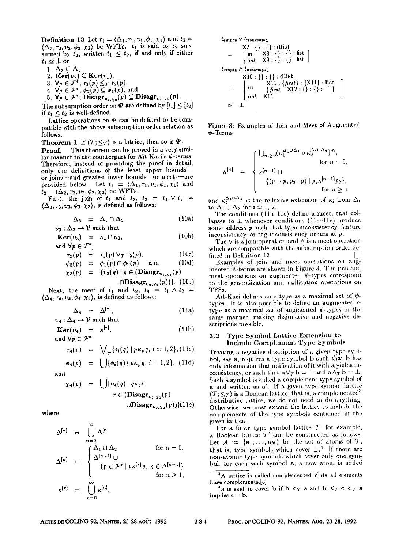**Definition 13** Let  $t_1 = \langle \Delta_1, \tau_1, \nu_1, \phi_1, \chi_1 \rangle$  and  $t_2 = \langle \Delta_2, \tau_2, \nu_2, \phi_2, \chi_2 \rangle$  be WFTs.  $t_1$  is said to be subsumed by  $t_2$ , written  $t_1 \leq t_2$ , if and only if either  $t_1 \simeq \bot$  or

- 
- 1.  $\Delta_2 \subseteq \Delta_1$ ,<br>2.  $\text{Ker}(v_2) \subseteq \text{Ker}(v_1)$
- 
- 
- 3.  $\forall p \in \mathcal{F}^*, \tau_1(p) \leq_T \tau_2(p)$ , and<br>4.  $\forall p \in \mathcal{F}^*, \phi_2(p) \subseteq \phi_1(p)$ , and <br>5.  $\forall p \in \mathcal{F}^*,$  **Disagr**<sub> $v_3, x_2(p) \subseteq$  **Disagr** $_{v_3, x_1}(p)$ .</sub>

The subsumption order on  $\Psi$  are defined by  $[t_1] \leq [t_2]$ if  $t_1 \leq t_2$  is well-defined.

Lattice operations on  $\Psi$  can be defined to be compatible with the above subsumption order relation as follows.

**Theorem 1** If  $\langle T; \leq \tau \rangle$  is a lattice, then so is  $\bar{\Psi}$ .

Proof. This theorem can be proved in a very similar manner to the counterpart for Att-Kaci's  $\psi$ -terms. Therefore, instead of providing the proof in detail, only the definitions of the least upper boundsor joins-and greatest lower bounds-or meets-are provided below. Let  $t_1 = \langle \Delta_1, \tau_1, v_1, \phi_1, \chi_1 \rangle$  and  $t_2 = \langle \Delta_2, \tau_2, v_2, \phi_2, \chi_2 \rangle$  be WFTs.

First, the join of  $t_1$  and  $t_2$ ,  $t_3 = t_1 \vee t_2 =$  $\langle \Delta_3, \tau_3, \nu_3, \phi_3, \chi_3 \rangle$ , is defined as follows:

$$
\Delta_3 = \Delta_1 \cap \Delta_2 \tag{10a}
$$

 $v_3: \Delta_3 \rightarrow V$  such that  $Ker(v_3) = \kappa_1 \cap \kappa_2,$  (10b)

and 
$$
\forall p \in \mathcal{F}^*
$$

$$
r_3(p) = r_1(p) \vee_T r_2(p), \qquad (10c)
$$
  
\n
$$
\phi_2(p) = \phi_1(p) \cap \phi_2(p), \qquad \text{and} \qquad (10d)
$$

$$
\chi_3(p) = \{v_3(q) \mid q \in (\text{Disagr}_{v_1,\chi_3}(p))\}
$$

$$
= \frac{1}{2} \left( \frac{1}{2} \left( \frac{1}{2} \right) + \frac{1}{2} \left( \frac{1}{2} \right) \frac{1}{2} \left( \frac{1}{2} \right) \frac{1}{2} \left( \frac{1}{2} \right) \frac{1}{2} \right)
$$

 $\cap \text{Disagr}_{v_{2},\chi_{2}}(p))\}.$  (10e) Next, the meet of  $t_1$  and  $t_2$ ,  $t_4 = t_1 \wedge t_2 =$  $\langle \Delta_4, \tau_4, \nu_4, \phi_4, \chi_4 \rangle$ , is defined as follows:

$$
\Delta_4 = \Delta^{[*]}, \qquad (11a)
$$

$$
\mathbf{Ker}(\nu_4) = \kappa^{[\mathbf{v}]},
$$
  
and  $\forall p \in \mathcal{F}^*$  (11b)

$$
\tau_4(p) = \sqrt{\tau_1(q) | p \kappa_p q, i} = 1, 2
$$
 (11c)

$$
\phi_4(p) = \bigcup \{ \phi_i(q) \mid p \kappa_p q, i = 1, 2 \}, (11d)
$$

and

$$
\chi_4(p) = \bigcup \{v_4(q) \mid q\kappa_q r, \nr \in (\mathbf{Disagr}_{v_1,\chi_1}(p)) \cup \mathbf{Disagr}_{v_2,\chi_2}(p))\} (11e)
$$

where

$$
\Delta^{[\bullet]} = \bigcup_{n=0}^{\infty} \Delta^{[n]},
$$
  
\n
$$
\Delta^{[n]} = \begin{cases}\n\Delta_1 \cup \Delta_2 & \text{for } n = 0, \\
\Delta^{[n-1]} \cup \\
\{p \in \mathcal{F}^* \mid p\kappa^{[\bullet]}q, q \in \Delta^{[n-1]}\} & \text{for } n \ge 1, \\
\sum_{n=0}^{\infty} \kappa^{[n]},\n\end{cases}
$$

$$
t_{empty} \lor t_{nonempty}
$$
\n
$$
= \begin{bmatrix}\nX7: {} \n\{ \} : \n\{ \} : \n\end{bmatrix} : \n\begin{bmatrix}\n\text{dist} \\
\text{dist} \\
\text{out} \quad X9: {} \n\} : \n\{ \} : \n\end{bmatrix} : \n\begin{bmatrix}\n\text{dist} \\
\text{dist}\n\end{bmatrix}
$$
\n
$$
t_{empty} \land t_{nonempty}
$$
\n
$$
X10: {} \n\{ \} : \n\{ \} : \n\text{dist} \} : \n\{X11\} : \n\text{list}
$$
\n
$$
= \begin{bmatrix}\n\text{in} & X11: {} \n\text{first} & X12: {} \n\{ \} : \n\{ \} : \n\end{bmatrix} : \n\begin{bmatrix}\n\text{1} & \text{1} & \text{1} & \text{1} \\
\text{1} & \text{1} & \text{1} & \text{1} & \text{1} \\
\text{1} & \text{1} & \text{1} & \text{1} & \text{1}\n\end{bmatrix}
$$
\n
$$
\approx \perp
$$

Figure 3: Examples of Join and Meet of Augmented  $\psi$ -Terms

$$
\kappa^{[n]} = \begin{cases} \bigcup_{m\geq 0} (\kappa_1^{\Delta_1 \cup \Delta_2} \circ \kappa_2^{\Delta_1 \cup \Delta_2})^m, \\ \text{for } n = 0, \\ \kappa^{[n-1]} \cup \\ \{ \langle p_1 \cdot p, p_2 \cdot p \rangle \mid p_1 \kappa^{[n-1]} p_2 \}, \\ \text{for } n \geq 1 \end{cases}
$$

and  $\kappa_i^{\Delta_1 \cup \Delta_2}$  is the reflexive extension of  $\kappa_i$  from  $\Delta_i$ to  $\Delta_1 \cup \Delta_2$  for  $i=1, 2$ .

The conditions (lla-lle) define a meet, that collapses to  $\perp$  whenever conditions (11c-11e) produce some address  $p$  such that type inconsistency, feature inconsistency, or tag inconsistency occurs at p.

The  $\vee$  is a join operation and  $\wedge$  is a meet operation which are compatible with the subsumptiou order de-

fined in Definition 13. [] Examples of join and meet operations on augmented  $\psi$ -terms are shown in Figure 3. The join and meet operations on augmented  $\psi$ -types correspond to the generalization and unification operations on TFSs.

A'it-Kaci defines an  $\epsilon$ -type as a maximal set of  $\psi$ types. It is also possible to define an augmented  $\epsilon$ type as a maximal set of augmented  $\psi$ -types in the same manner, making disjunctive and negative descriptions possible.

#### 3.2 Type Symbol Lattice Extension to Include Complement Type Symbols

Treating a negative description of a given type symbol, say a, requires a type symbol **b** such that **b** has only information that unification of it with a yields inconsistency, or such that  $a \vee_T b = \top$  and  $a \wedge_T b = \bot$ . Such a symbol is called a complement type symbol of a and written as a'. If a given type symbol lattice  $\langle T, \leq_T \rangle$  is a Boolean lattice, that is, a complemented<sup>3</sup> distributive lattice, we do not need to do anything. Otherwise, we nmst extend the lattice to include the complements of the type symbols contained in the given lattice.

For a finite type symbol lattice  $T$ , for example, a Boolean lattice  $T'$  can be constructed as follows. Let  $A := \{a_1, \ldots, a_N\}$  be the set of atoms of T, that is, type symbols which cover  $\perp$ .<sup>4</sup> If there are non-atomic type symbols which cover only one symbol, for each such symbol a, a new atom is added

<sup>&</sup>lt;sup>3</sup>A lattice is called complemented if its all elements have complements.[3]

 $^4$ a is said to cover b if b  $\lt$  a and b  $\leq$  c  $\lt$  a implies  $c = b$ .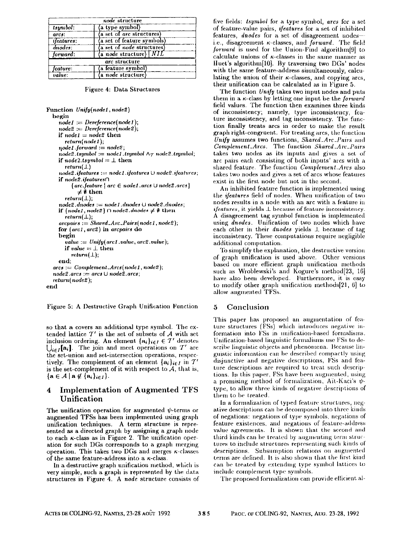|                    | node structure                        |
|--------------------|---------------------------------------|
| tsymbol:           | a type symbol)                        |
| arcs:              | (a set of arc structures)             |
| <i>ifeatures</i> : | (a set of feature symbols)            |
| dnodes:            | (a set of node structures)            |
| forward:           | $(a \text{ node structure})$ $[ NIL]$ |
|                    | arc structure                         |
| feature:           | (a feature symbol)                    |
| value:             | (a node structure)                    |

Figure 4: Data Structures

Function Unify(node1, node2) hegin  $node1 := Derference(node1);$  $node2 := Derference(node2);$ if  $node1 = node2$  then  $return(node 1)$ :  $node1.forward := node2;$  $node2. tsymbol := node1. tsymbol \wedge \tau node2. tsymbol;$ if  $node2.tsymbol = \bot$  then  $return(1)$  $node2.$ ifeatures := node1.ifeatures  $\cup$  node2.ifeatures; if node2.ifeatures∩  $\{arc.feature \mid arc \in node1, arcs \cup node2, arcs\}$  $\neq \emptyset$  then  $return(\perp)$ ;  $node2$ .  $dnodes := node1$ .  $dnodes \cup node2$ .  $dnodes$ .if  ${node1, node2} \cap node2.$  dnodes  $\neq \emptyset$  then  $return(\bot);$  $arcpairs := Shared\_Arc\_Pairs(node1, node2),$ for (arc1, arc2) in arcpairs do begin value :=  $Unify(arc1.value, arc2.value);$ if value  $=\perp$  then  $return(\perp);$ end:  $arcs := Complement \ldots Arcs(node1, node2);$  $node2. arcs := arcs \cup node2. arcs;$ return(node2): end

Figure 5: A Destructive Graph Unification Function

so that a covers an additional type symbol. The extended lattice  $T'$  is the set of subsets of A with set inclusion ordering. An element  $\{a_i\}_{i\in I}\in \mathcal{T}'$  denotes  $\bigcup_{i \in I} [\mathbf{a}_i]$ . The join and meet operations on  $T'$  are the set-union and set-intersection operations, respectively. The complement of an element  $\{a_i\}_{i\in I}$  in  $T'$ is the set-complement of it with respect to  $A$ , that is,  $\{a \in \mathcal{A} \mid a \notin \{a_i\}_{i \in I}\}.$ 

#### **Implementation of Augmented TFS** 4 Unification

The unification operation for augmented  $\psi$ -terms or augmented TFSs has been implemented using graph unification techniques. A term structure is represented as a directed graph by assigning a graph node to each  $\kappa$ -class as in Figure 2. The unification operation for such DGs corresponds to a graph merging operation. This takes two DGs and merges  $\kappa$ -classes of the same feature-address into a  $\kappa$ -class.

In a destructive graph unification method, which is very simple, such a graph is represented by the data structures in Figure 4. A node structure consists of five fields: *tsymbol* for a type symbol, arcs for a set of feature-value pairs, *ifeatures* for a set of inhibited features, dnodes for a set of disagreement nodesi.e., disagreement  $\kappa$ -classes, and *forward*. The field forward is used for the Union-Find algorithm[9] to calculate unions of  $\kappa$ -classes in the same manner as Huet's algorithm[10]. By traversing two DGs' nodes with the same feature-address simultaneously, calculating the union of their  $\kappa$ -classes, and copying arcs, their unification can be calculated as in Figure 5.

The function Unifu takes two input nodes and puts them in a  $\kappa$ -class by letting one input be the *forward* field values. The function then examines three kinds of inconsistency; namely, type inconsistency, feature inconsistency, and tag inconsistency. The function finally treats arcs in order to make the result graph right-congruent. For treating arcs, the function Unify assumes two functions, Shared Arc Pairs and Complement\_Arcs. The function Shared\_Arc\_Pairs takes two nodes as its inputs and gives a set of arc pairs each consisting of both inputs' arcs with a shared feature. The function Complement Arcs also takes two nodes and gives a set of arcs whose features exist in the first node but not in the second.

An inhibited feature function is implemented using the *ifeatures* field of nodes. When unification of two nodes results in a node with an arc with a feature in *ifeatures* it yields L because of feature inconsistency. A disagreement tag symbol function is implemented using dnodes. Unification of two nodes which have each other in their *dnodes* yields 1, because of tag inconsistency. These computations require negligible additional computation.

To simplify the explanation, the destructive version of graph unification is used above. Other versions based on more efficient graph unification methods such as Wroblewski's and Kogure's method[23, 16] have also been developed. Furthermore, it is easy to modify other graph unification methods [21, 6] to allow augmented TFSs.

#### Conclusion 5

This paper has proposed an augmentation of feature structures (FSs) which introduces negative information into FSs in unification-based formalisms. Unification-based linguistic formalisms use FSs to describe linguistic objects and phenomena. Because linguistic information can be described compactly using disjunctive and negative descriptions, FSs and feature descriptions are required to treat such descriptions. In this paper, FSs have been augmented, using a promising method of formalization, Alt-Kaci's  $\psi$ type, to allow three kinds of negative descriptions of them to be treated.

In a formalization of typed feature structures, negative descriptions can be decomposed into three kinds of negations: negations of type symbols, negations of feature existences, and negations of feature-address value agreements. It is shown that the second and third kinds can be treated by augmenting term structures to include structures representing such kinds of descriptions. Subsumption relations on augmented terms are defined. It is also shown that the first kind can be treated by extending type symbol lattices to include complement type symbols.

The proposed formalization can provide efficient al-